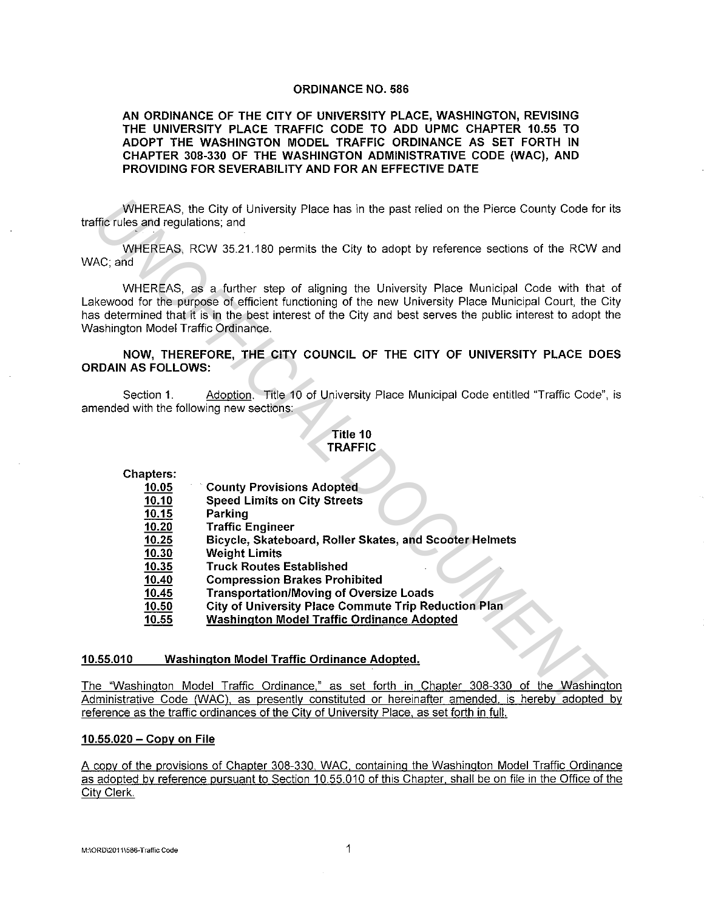#### **ORDINANCE NO. 586**

**AN ORDINANCE OF THE CITY OF UNIVERSITY PLACE, WASHINGTON, REVISING THE UNIVERSITY PLACE TRAFFIC CODE TO ADD UPMC CHAPTER 10.55 TO ADOPT THE WASHINGTON MODEL TRAFFIC ORDINANCE AS SET FORTH IN CHAPTER 308-330 OF THE WASHINGTON ADMINISTRATIVE CODE (WAC), AND PROVIDING FOR SEVERABILITY AND FOR AN EFFECTIVE DATE** 

WHEREAS, the City of University Place has in the past relied on the Pierce County Code for its traffic rules and regulations; and

WHEREAS, RCW 35.21.180 permits the City to adopt by reference sections of the RCW and WAC; and

WHEREAS, as a further step of aligning the University Place Municipal Code with that of Lakewood for the purpose of efficient functioning of the new University Place Municipal Court, the City has determined that it is in the best interest of the City and best serves the public interest to adopt the Washington Model Traffic Ordinance. WHEREAS, the City of University Place has in the past relied on the Pierce County Code for<br>
WHEREAS, RCW 35.21.180 permits the City to adopt by reference sections of the RCW a<br>
AC; and<br>
WHEREAS, RCW 35.21.180 permits the C

### **NOW, THEREFORE, THE CITY COUNCIL OF THE CITY OF UNIVERSITY PLACE DOES ORDAIN AS FOLLOWS:**

Section 1. Adoption. Title 10 of University Place Municipal Code entitled "Traffic Code", is amended with the following new sections:

## **Title 10 TRAFFIC**

- **County Provisions Adopted**
- **Speed Limits on City Streets**
- **Parking**
- **Traffic Engineer**
- **Bicycle, Skateboard, Roller Skates, and Scooter Helmets**
- **Weight Limits**
- **Truck Routes Established**
- **Compression Brakes Prohibited**
- **Transportation/Moving of Oversize Loads**
- **City of University Place Commute Trip Reduction Plan**
- **Washington Model Traffic Ordinance Adopted**

#### **10.55.010 Washington Model Traffic Ordinance Adopted.**

The "Washington Model Traffic Ordinance," as set forth in Chapter 308-330 of the Washington Administrative Code (WAC). as presently constituted or hereinafter amended. is hereby adopted by reference as the traffic ordinances of the City of University Place. as set forth in full.

#### **10.55.020 - Copy on File**

A copy of the provisions of Chapter 308-330 WAC. containing the Washington Model Traffic Ordinance as adopted by reference pursuant to Section 10.55.010 of this Chapter. shall be on file in the Office of the City Clerk.